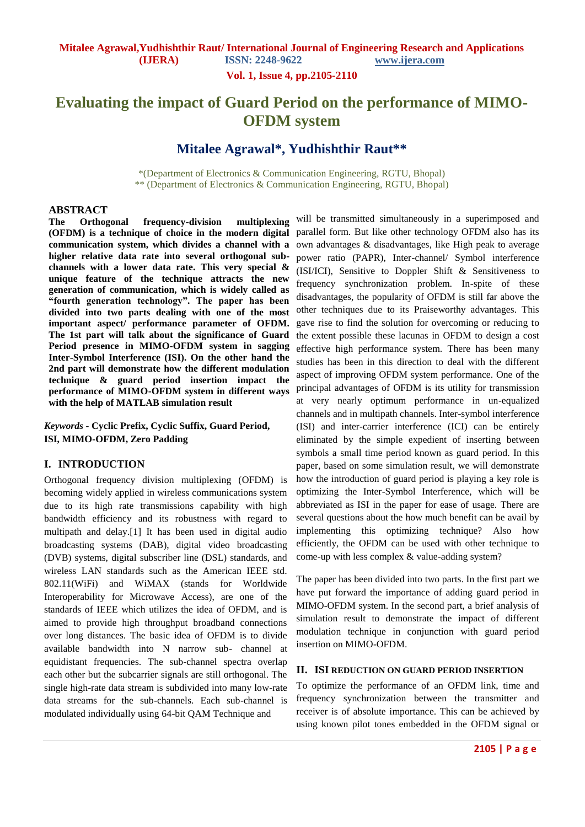**Vol. 1, Issue 4, pp.2105-2110**

# **Evaluating the impact of Guard Period on the performance of MIMO-OFDM system**

## **Mitalee Agrawal\*, Yudhishthir Raut\*\***

\*(Department of Electronics & Communication Engineering, RGTU, Bhopal) \*\* (Department of Electronics & Communication Engineering, RGTU, Bhopal)

## **ABSTRACT**

**The Orthogonal frequency-division (OFDM) is a technique of choice in the modern digital communication system, which divides a channel with a higher relative data rate into several orthogonal subchannels with a lower data rate. This very special & unique feature of the technique attracts the new generation of communication, which is widely called as "fourth generation technology". The paper has been divided into two parts dealing with one of the most important aspect/ performance parameter of OFDM. The 1st part will talk about the significance of Guard Period presence in MIMO-OFDM system in sagging Inter-Symbol Interference (ISI). On the other hand the 2nd part will demonstrate how the different modulation technique & guard period insertion impact the performance of MIMO-OFDM system in different ways with the help of MATLAB simulation result**

## *Keywords* **- Cyclic Prefix, Cyclic Suffix, Guard Period, ISI, MIMO-OFDM, Zero Padding**

#### **I. INTRODUCTION**

Orthogonal frequency division multiplexing (OFDM) is becoming widely applied in wireless communications system due to its high rate transmissions capability with high bandwidth efficiency and its robustness with regard to multipath and delay.[1] It has been used in digital audio broadcasting systems (DAB), digital video broadcasting (DVB) systems, digital subscriber line (DSL) standards, and wireless LAN standards such as the American IEEE std. 802.11(WiFi) and WiMAX (stands for Worldwide Interoperability for Microwave Access), are one of the standards of IEEE which utilizes the idea of OFDM, and is aimed to provide high throughput broadband connections over long distances. The basic idea of OFDM is to divide available bandwidth into N narrow sub- channel at equidistant frequencies. The sub-channel spectra overlap each other but the subcarrier signals are still orthogonal. The single high-rate data stream is subdivided into many low-rate data streams for the sub-channels. Each sub-channel is modulated individually using 64-bit QAM Technique and

multiplexing will be transmitted simultaneously in a superimposed and parallel form. But like other technology OFDM also has its own advantages & disadvantages, like High peak to average power ratio (PAPR), Inter-channel/ Symbol interference (ISI/ICI), Sensitive to Doppler Shift & Sensitiveness to frequency synchronization problem. In-spite of these disadvantages, the popularity of OFDM is still far above the other techniques due to its Praiseworthy advantages. This gave rise to find the solution for overcoming or reducing to the extent possible these lacunas in OFDM to design a cost effective high performance system. There has been many studies has been in this direction to deal with the different aspect of improving OFDM system performance. One of the principal advantages of OFDM is its utility for transmission at very nearly optimum performance in un-equalized channels and in multipath channels. Inter-symbol interference (ISI) and inter-carrier interference (ICI) can be entirely eliminated by the simple expedient of inserting between symbols a small time period known as guard period. In this paper, based on some simulation result, we will demonstrate how the introduction of guard period is playing a key role is optimizing the Inter-Symbol Interference, which will be abbreviated as ISI in the paper for ease of usage. There are several questions about the how much benefit can be avail by implementing this optimizing technique? Also how efficiently, the OFDM can be used with other technique to come-up with less complex & value-adding system?

> The paper has been divided into two parts. In the first part we have put forward the importance of adding guard period in MIMO-OFDM system. In the second part, a brief analysis of simulation result to demonstrate the impact of different modulation technique in conjunction with guard period insertion on MIMO-OFDM.

#### **II. ISI REDUCTION ON GUARD PERIOD INSERTION**

To optimize the performance of an OFDM link, time and frequency synchronization between the transmitter and receiver is of absolute importance. This can be achieved by using known pilot tones embedded in the OFDM signal or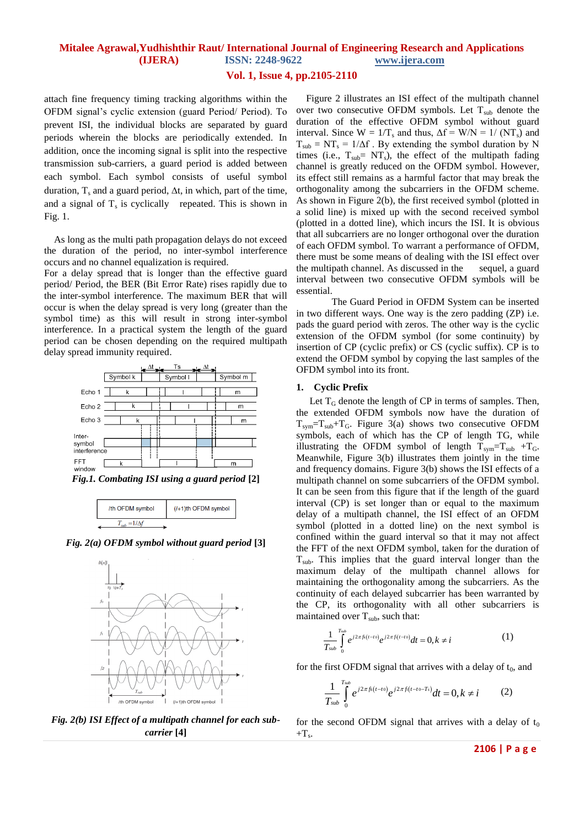### **Vol. 1, Issue 4, pp.2105-2110**

attach fine frequency timing tracking algorithms within the OFDM signal's cyclic extension (guard Period/ Period). To prevent ISI, the individual blocks are separated by guard periods wherein the blocks are periodically extended. In addition, once the incoming signal is split into the respective transmission sub-carriers, a guard period is added between each symbol. Each symbol consists of useful symbol duration,  $T_s$  and a guard period,  $\Delta t$ , in which, part of the time, and a signal of  $T_s$  is cyclically repeated. This is shown in Fig. 1.

As long as the multi path propagation delays do not exceed the duration of the period, no inter-symbol interference occurs and no channel equalization is required.

For a delay spread that is longer than the effective guard period/ Period, the BER (Bit Error Rate) rises rapidly due to the inter-symbol interference. The maximum BER that will occur is when the delay spread is very long (greater than the symbol time) as this will result in strong inter-symbol interference. In a practical system the length of the guard period can be chosen depending on the required multipath delay spread immunity required.



*Fig.1. Combating ISI using a guard period* **[2]**



*Fig. 2(a) OFDM symbol without guard period* **[3]**



*Fig. 2(b) ISI Effect of a multipath channel for each subcarrier* **[4]**

Figure 2 illustrates an ISI effect of the multipath channel over two consecutive OFDM symbols. Let  $T_{sub}$  denote the duration of the effective OFDM symbol without guard interval. Since  $W = 1/T_s$  and thus,  $\Delta f = W/N = 1/(NT_s)$  and  $T_{sub} = NT_s = 1/\Delta f$ . By extending the symbol duration by N times (i.e.,  $T_{sub} = NT_s$ ), the effect of the multipath fading channel is greatly reduced on the OFDM symbol. However, its effect still remains as a harmful factor that may break the orthogonality among the subcarriers in the OFDM scheme. As shown in Figure 2(b), the first received symbol (plotted in a solid line) is mixed up with the second received symbol (plotted in a dotted line), which incurs the ISI. It is obvious that all subcarriers are no longer orthogonal over the duration of each OFDM symbol. To warrant a performance of OFDM, there must be some means of dealing with the ISI effect over the multipath channel. As discussed in the sequel, a guard interval between two consecutive OFDM symbols will be essential.

The Guard Period in OFDM System can be inserted in two different ways. One way is the zero padding (ZP) i.e. pads the guard period with zeros. The other way is the cyclic extension of the OFDM symbol (for some continuity) by insertion of CP (cyclic prefix) or CS (cyclic suffix). CP is to extend the OFDM symbol by copying the last samples of the OFDM symbol into its front.

#### **1. Cyclic Prefix**

Let  $T_G$  denote the length of CP in terms of samples. Then, the extended OFDM symbols now have the duration of  $T_{sym} = T_{sub} + T_{G}$ . Figure 3(a) shows two consecutive OFDM symbols, each of which has the CP of length TG, while illustrating the OFDM symbol of length  $T_{sym} = T_{sub} + T_{G}$ . Meanwhile, Figure 3(b) illustrates them jointly in the time and frequency domains. Figure 3(b) shows the ISI effects of a multipath channel on some subcarriers of the OFDM symbol. It can be seen from this figure that if the length of the guard interval (CP) is set longer than or equal to the maximum delay of a multipath channel, the ISI effect of an OFDM symbol (plotted in a dotted line) on the next symbol is confined within the guard interval so that it may not affect the FFT of the next OFDM symbol, taken for the duration of  $T<sub>sub</sub>$ . This implies that the guard interval longer than the maximum delay of the multipath channel allows for maintaining the orthogonality among the subcarriers. As the continuity of each delayed subcarrier has been warranted by the CP, its orthogonality with all other subcarriers is maintained over  $T_{sub}$ , such that:

$$
\frac{1}{T_{sub}} \int_{0}^{T_{sub}} e^{j2\pi f_1(t-t_0)} e^{j2\pi f_2(t-t_0)} dt = 0, k \neq i
$$
 (1)

for the first OFDM signal that arrives with a delay of  $t_0$ , and

$$
\frac{1}{T_{sub}} \int_{0}^{T_{sub}} e^{j2\pi f k(t-t_0)} e^{j2\pi f t(t-t_0-T_s)} dt = 0, k \neq i
$$
 (2)

for the second OFDM signal that arrives with a delay of  $t_0$  $+T_s$ .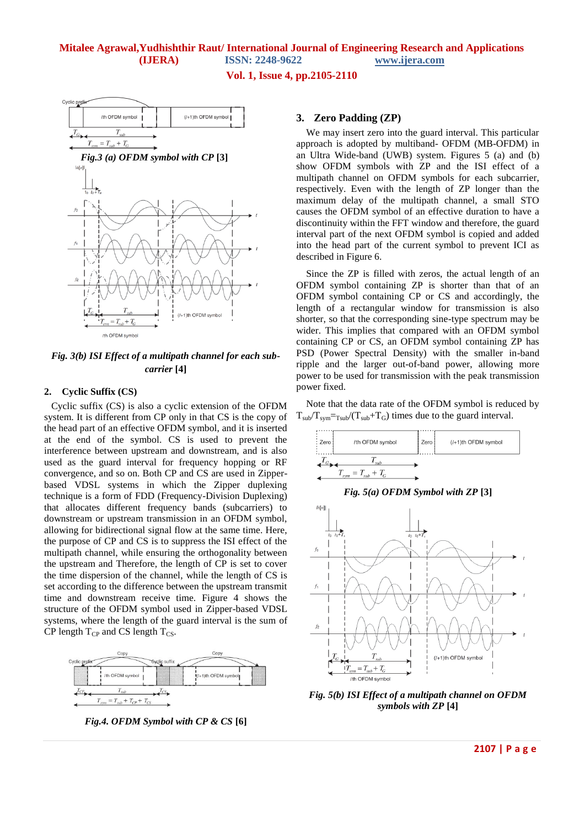**Vol. 1, Issue 4, pp.2105-2110**



*Fig. 3(b) ISI Effect of a multipath channel for each subcarrier* **[4]**

### **2. Cyclic Suffix (CS)**

Cyclic suffix (CS) is also a cyclic extension of the OFDM system. It is different from CP only in that CS is the copy of the head part of an effective OFDM symbol, and it is inserted at the end of the symbol. CS is used to prevent the interference between upstream and downstream, and is also used as the guard interval for frequency hopping or RF convergence, and so on. Both CP and CS are used in Zipperbased VDSL systems in which the Zipper duplexing technique is a form of FDD (Frequency-Division Duplexing) that allocates different frequency bands (subcarriers) to downstream or upstream transmission in an OFDM symbol, allowing for bidirectional signal flow at the same time. Here, the purpose of CP and CS is to suppress the ISI effect of the multipath channel, while ensuring the orthogonality between the upstream and Therefore, the length of CP is set to cover the time dispersion of the channel, while the length of CS is set according to the difference between the upstream transmit time and downstream receive time. Figure 4 shows the structure of the OFDM symbol used in Zipper-based VDSL systems, where the length of the guard interval is the sum of CP length  $T_{CP}$  and CS length  $T_{CS}$ .



*Fig.4. OFDM Symbol with CP & CS* **[6]**

#### **3. Zero Padding (ZP)**

We may insert zero into the guard interval. This particular approach is adopted by multiband- OFDM (MB-OFDM) in an Ultra Wide-band (UWB) system. Figures 5 (a) and (b) show OFDM symbols with ZP and the ISI effect of a multipath channel on OFDM symbols for each subcarrier, respectively. Even with the length of ZP longer than the maximum delay of the multipath channel, a small STO causes the OFDM symbol of an effective duration to have a discontinuity within the FFT window and therefore, the guard interval part of the next OFDM symbol is copied and added into the head part of the current symbol to prevent ICI as described in Figure 6.

Since the ZP is filled with zeros, the actual length of an OFDM symbol containing ZP is shorter than that of an OFDM symbol containing CP or CS and accordingly, the length of a rectangular window for transmission is also shorter, so that the corresponding sine-type spectrum may be wider. This implies that compared with an OFDM symbol containing CP or CS, an OFDM symbol containing ZP has PSD (Power Spectral Density) with the smaller in-band ripple and the larger out-of-band power, allowing more power to be used for transmission with the peak transmission power fixed.

Note that the data rate of the OFDM symbol is reduced by  $T_{sub}T_{sym}=T_{sub}/(T_{sub}+T_{G})$  times due to the guard interval.



*Fig. 5(b) ISI Effect of a multipath channel on OFDM symbols with ZP* **[4]**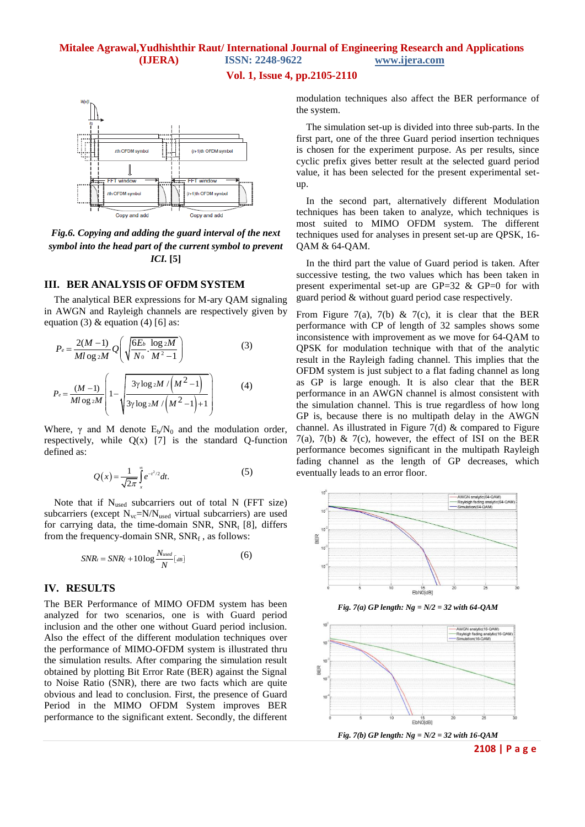#### **Vol. 1, Issue 4, pp.2105-2110**



*Fig.6. Copying and adding the guard interval of the next symbol into the head part of the current symbol to prevent ICI.* **[5]**

## **III. BER ANALYSIS OF OFDM SYSTEM**

The analytical BER expressions for M-ary QAM signaling in AWGN and Rayleigh channels are respectively given by equation (3)  $\&$  equation (4) [6] as:

$$
P_e = \frac{2(M-1)}{M \log 2M} Q \left( \sqrt{\frac{6E_b}{N_0} \cdot \frac{\log 2M}{M^2 - 1}} \right)
$$
 (3)

$$
P_e = \frac{(M-1)}{M \log 2M} \left( 1 - \sqrt{\frac{3\gamma \log 2M / (M^2 - 1)}{3\gamma \log 2M / (M^2 - 1) + 1}} \right)
$$
(4)

Where,  $\gamma$  and M denote  $E_b/N_0$  and the modulation order, respectively, while  $Q(x)$  [7] is the standard Q-function defined as:

$$
Q(x) = \frac{1}{\sqrt{2\pi}} \int_{x}^{\infty} e^{-t^2/2} dt.
$$
 (5)

Note that if  $N_{used}$  subcarriers out of total N (FFT size) subcarriers (except  $N_{vc}$ =N/ $N_{used}$  virtual subcarriers) are used for carrying data, the time-domain  $SNR$ ,  $SNR$ <sub>t</sub> [8], differs from the frequency-domain SNR,  $SNR_f$ , as follows:

$$
SNR_t = SNR_f + 10\log\frac{N_{used}}{N}[_{dB}]
$$
 (6)

## **IV. RESULTS**

The BER Performance of MIMO OFDM system has been analyzed for two scenarios, one is with Guard period inclusion and the other one without Guard period inclusion. Also the effect of the different modulation techniques over the performance of MIMO-OFDM system is illustrated thru the simulation results. After comparing the simulation result obtained by plotting Bit Error Rate (BER) against the Signal to Noise Ratio (SNR), there are two facts which are quite obvious and lead to conclusion. First, the presence of Guard Period in the MIMO OFDM System improves BER performance to the significant extent. Secondly, the different

modulation techniques also affect the BER performance of the system.

The simulation set-up is divided into three sub-parts. In the first part, one of the three Guard period insertion techniques is chosen for the experiment purpose. As per results, since cyclic prefix gives better result at the selected guard period value, it has been selected for the present experimental setup.

In the second part, alternatively different Modulation techniques has been taken to analyze, which techniques is most suited to MIMO OFDM system. The different techniques used for analyses in present set-up are QPSK, 16- QAM & 64-QAM.

In the third part the value of Guard period is taken. After successive testing, the two values which has been taken in present experimental set-up are  $GP=32$  &  $GP=0$  for with guard period & without guard period case respectively.

From Figure 7(a), 7(b) & 7(c), it is clear that the BER performance with CP of length of 32 samples shows some inconsistence with improvement as we move for 64-QAM to QPSK for modulation technique with that of the analytic result in the Rayleigh fading channel. This implies that the OFDM system is just subject to a flat fading channel as long as GP is large enough. It is also clear that the BER performance in an AWGN channel is almost consistent with the simulation channel. This is true regardless of how long GP is, because there is no multipath delay in the AWGN channel. As illustrated in Figure 7(d)  $&$  compared to Figure 7(a), 7(b) & 7(c), however, the effect of ISI on the BER performance becomes significant in the multipath Rayleigh fading channel as the length of GP decreases, which eventually leads to an error floor.



*Fig. 7(a) GP length: Ng = N/2 = 32 with 64-QAM*



**2108 | P a g e**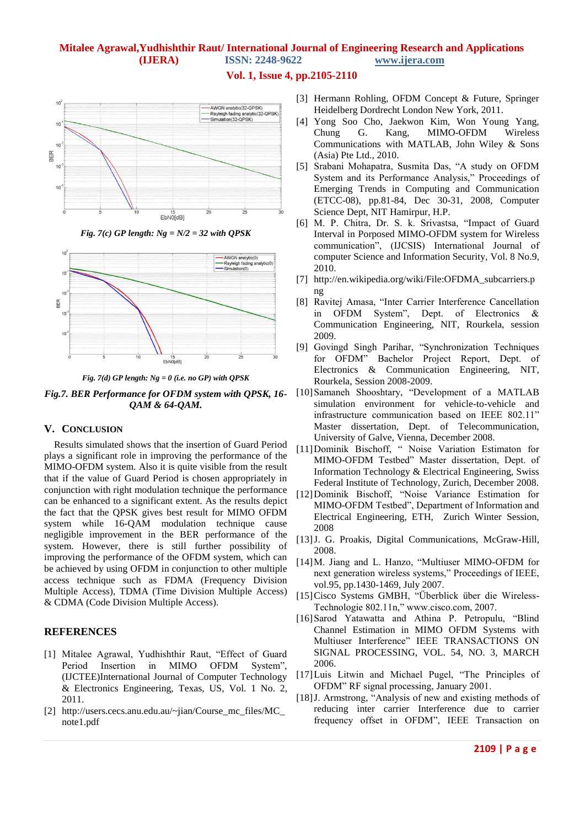#### **Vol. 1, Issue 4, pp.2105-2110**



*Fig. 7(c) GP length: Ng = N/2 = 32 with QPSK*



*Fig. 7(d) GP length: Ng = 0 (i.e. no GP) with QPSK Fig.7. BER Performance for OFDM system with QPSK, 16- QAM & 64-QAM.*

#### **V. CONCLUSION**

Results simulated shows that the insertion of Guard Period plays a significant role in improving the performance of the MIMO-OFDM system. Also it is quite visible from the result that if the value of Guard Period is chosen appropriately in conjunction with right modulation technique the performance can be enhanced to a significant extent. As the results depict the fact that the QPSK gives best result for MIMO OFDM system while 16-QAM modulation technique cause negligible improvement in the BER performance of the system. However, there is still further possibility of improving the performance of the OFDM system, which can be achieved by using OFDM in conjunction to other multiple access technique such as FDMA (Frequency Division Multiple Access), TDMA (Time Division Multiple Access) & CDMA (Code Division Multiple Access).

#### **REFERENCES**

- [1] Mitalee Agrawal, Yudhishthir Raut, "Effect of Guard Period Insertion in MIMO OFDM System", (IJCTEE)International Journal of Computer Technology & Electronics Engineering, Texas, US, Vol. 1 No. 2, 2011.
- [2] http://users.cecs.anu.edu.au/~jian/Course\_mc\_files/MC\_ note1.pdf
- [3] Hermann Rohling, OFDM Concept & Future, Springer Heidelberg Dordrecht London New York, 2011.
- [4] Yong Soo Cho, Jaekwon Kim, Won Young Yang, Chung G. Kang, MIMO-OFDM Wireless Communications with MATLAB, John Wiley & Sons (Asia) Pte Ltd., 2010.
- [5] Srabani Mohapatra, Susmita Das, "A study on OFDM System and its Performance Analysis," Proceedings of Emerging Trends in Computing and Communication (ETCC-08), pp.81-84, Dec 30-31, 2008, Computer Science Dept, NIT Hamirpur, H.P.
- [6] M. P. Chitra, Dr. S. k. Srivastsa, "Impact of Guard Interval in Porposed MIMO-OFDM system for Wireless communication", (IJCSIS) International Journal of computer Science and Information Security, Vol. 8 No.9, 2010.
- [7] [http://en.wikipedia.org/wiki/File:OFDMA\\_subcarriers.p](http://en.wikipedia.org/wiki/File:OFDMA_subcarriers.png) [ng](http://en.wikipedia.org/wiki/File:OFDMA_subcarriers.png)
- [8] Ravitej Amasa, "Inter Carrier Interference Cancellation in OFDM System", Dept. of Electronics & Communication Engineering, NIT, Rourkela, session 2009.
- [9] Govingd Singh Parihar, "Synchronization Techniques for OFDM" Bachelor Project Report, Dept. of Electronics & Communication Engineering, NIT, Rourkela, Session 2008-2009.
- [10]Samaneh Shooshtary, "Development of a MATLAB simulation environment for vehicle-to-vehicle and infrastructure communication based on IEEE 802.11" Master dissertation, Dept. of Telecommunication, University of Galve, Vienna, December 2008.
- [11]Dominik Bischoff, " Noise Variation Estimaton for MIMO-OFDM Testbed" Master dissertation, Dept. of Information Technology & Electrical Engineering, Swiss Federal Institute of Technology, Zurich, December 2008.
- [12]Dominik Bischoff, "Noise Variance Estimation for MIMO-OFDM Testbed", Department of Information and Electrical Engineering, ETH, Zurich Winter Session, 2008
- [13] J. G. Proakis, Digital Communications, McGraw-Hill, 2008.
- [14]M. Jiang and L. Hanzo, "Multiuser MIMO-OFDM for next generation wireless systems," Proceedings of IEEE, vol.95, pp.1430-1469, July 2007.
- [15]Cisco Systems GMBH, "Überblick über die Wireless-Technologie 802.11n," www.cisco.com, 2007.
- [16]Sarod Yatawatta and Athina P. Petropulu, "Blind Channel Estimation in MIMO OFDM Systems with Multiuser Interference" IEEE TRANSACTIONS ON SIGNAL PROCESSING, VOL. 54, NO. 3, MARCH 2006.
- [17]Luis Litwin and Michael Pugel, "The Principles of OFDM" RF signal processing, January 2001.
- [18]J. Armstrong, "Analysis of new and existing methods of reducing inter carrier Interference due to carrier frequency offset in OFDM", IEEE Transaction on